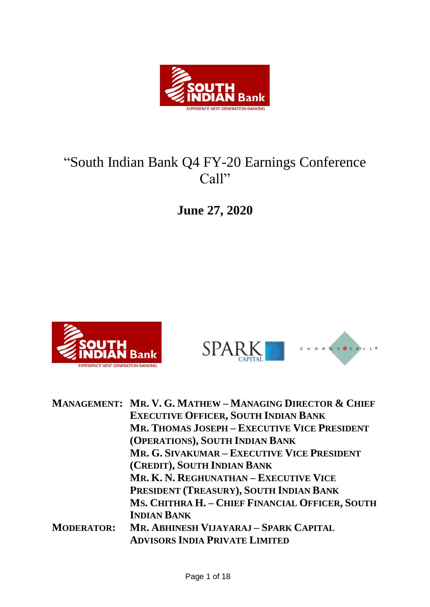

# "South Indian Bank Q4 FY-20 Earnings Conference Call"

**June 27, 2020**





|                   | <b>MANAGEMENT: MR. V. G. MATHEW-MANAGING DIRECTOR &amp; CHIEF</b> |
|-------------------|-------------------------------------------------------------------|
|                   | <b>EXECUTIVE OFFICER, SOUTH INDIAN BANK</b>                       |
|                   | <b>MR. THOMAS JOSEPH - EXECUTIVE VICE PRESIDENT</b>               |
|                   | (OPERATIONS), SOUTH INDIAN BANK                                   |
|                   | MR. G. SIVAKUMAR – EXECUTIVE VICE PRESIDENT                       |
|                   | (CREDIT), SOUTH INDIAN BANK                                       |
|                   | MR. K. N. REGHUNATHAN - EXECUTIVE VICE                            |
|                   | PRESIDENT (TREASURY), SOUTH INDIAN BANK                           |
|                   | MS. CHITHRA H. - CHIEF FINANCIAL OFFICER, SOUTH                   |
|                   | <b>INDIAN BANK</b>                                                |
| <b>MODERATOR:</b> | MR. ABHINESH VIJAYARAJ - SPARK CAPITAL                            |
|                   | <b>ADVISORS INDIA PRIVATE LIMITED</b>                             |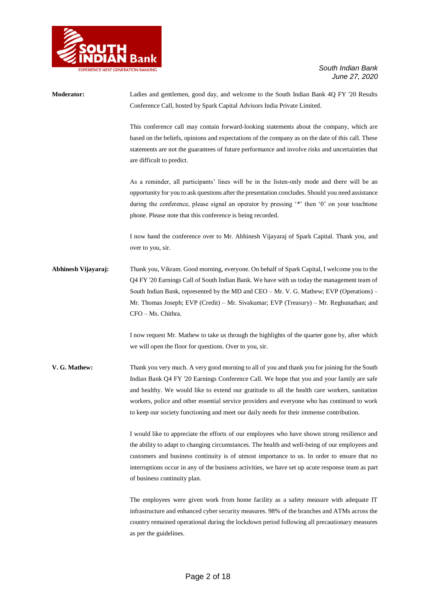

| Moderator:          | Ladies and gentlemen, good day, and welcome to the South Indian Bank 4Q FY '20 Results<br>Conference Call, hosted by Spark Capital Advisors India Private Limited.                                                                                                                                                                                                                                                                                                                       |
|---------------------|------------------------------------------------------------------------------------------------------------------------------------------------------------------------------------------------------------------------------------------------------------------------------------------------------------------------------------------------------------------------------------------------------------------------------------------------------------------------------------------|
|                     | This conference call may contain forward-looking statements about the company, which are<br>based on the beliefs, opinions and expectations of the company as on the date of this call. These<br>statements are not the guarantees of future performance and involve risks and uncertainties that<br>are difficult to predict.                                                                                                                                                           |
|                     | As a reminder, all participants' lines will be in the listen-only mode and there will be an<br>opportunity for you to ask questions after the presentation concludes. Should you need assistance<br>during the conference, please signal an operator by pressing '*' then '0' on your touchtone<br>phone. Please note that this conference is being recorded.                                                                                                                            |
|                     | I now hand the conference over to Mr. Abhinesh Vijayaraj of Spark Capital. Thank you, and<br>over to you, sir.                                                                                                                                                                                                                                                                                                                                                                           |
| Abhinesh Vijayaraj: | Thank you, Vikram. Good morning, everyone. On behalf of Spark Capital, I welcome you to the<br>Q4 FY '20 Earnings Call of South Indian Bank. We have with us today the management team of<br>South Indian Bank, represented by the MD and CEO – Mr. V. G. Mathew; EVP (Operations) –<br>Mr. Thomas Joseph; EVP (Credit) – Mr. Sivakumar; EVP (Treasury) – Mr. Reghunathan; and<br>CFO - Ms. Chithra.                                                                                     |
|                     | I now request Mr. Mathew to take us through the highlights of the quarter gone by, after which<br>we will open the floor for questions. Over to you, sir.                                                                                                                                                                                                                                                                                                                                |
| V. G. Mathew:       | Thank you very much. A very good morning to all of you and thank you for joining for the South<br>Indian Bank Q4 FY '20 Earnings Conference Call. We hope that you and your family are safe<br>and healthy. We would like to extend our gratitude to all the health care workers, sanitation<br>workers, police and other essential service providers and everyone who has continued to work<br>to keep our society functioning and meet our daily needs for their immense contribution. |
|                     | I would like to appreciate the efforts of our employees who have shown strong resilience and<br>the ability to adapt to changing circumstances. The health and well-being of our employees and<br>customers and business continuity is of utmost importance to us. In order to ensure that no<br>interruptions occur in any of the business activities, we have set up acute response team as part<br>of business continuity plan.                                                       |
|                     | The employees were given work from home facility as a safety measure with adequate IT<br>infrastructure and enhanced cyber security measures. 98% of the branches and ATMs across the<br>country remained operational during the lockdown period following all precautionary measures<br>as per the guidelines.                                                                                                                                                                          |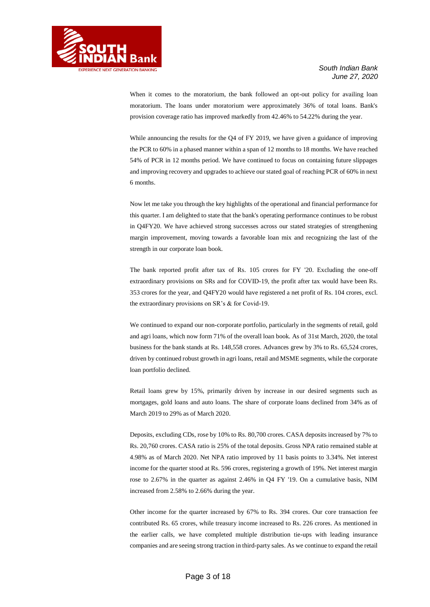

When it comes to the moratorium, the bank followed an opt-out policy for availing loan moratorium. The loans under moratorium were approximately 36% of total loans. Bank's provision coverage ratio has improved markedly from 42.46% to 54.22% during the year.

While announcing the results for the Q4 of FY 2019, we have given a guidance of improving the PCR to 60% in a phased manner within a span of 12 months to 18 months. We have reached 54% of PCR in 12 months period. We have continued to focus on containing future slippages and improving recovery and upgrades to achieve our stated goal of reaching PCR of 60% in next 6 months.

Now let me take you through the key highlights of the operational and financial performance for this quarter. I am delighted to state that the bank's operating performance continues to be robust in Q4FY20. We have achieved strong successes across our stated strategies of strengthening margin improvement, moving towards a favorable loan mix and recognizing the last of the strength in our corporate loan book.

The bank reported profit after tax of Rs. 105 crores for FY '20. Excluding the one-off extraordinary provisions on SRs and for COVID-19, the profit after tax would have been Rs. 353 crores for the year, and Q4FY20 would have registered a net profit of Rs. 104 crores, excl. the extraordinary provisions on SR's & for Covid-19.

We continued to expand our non-corporate portfolio, particularly in the segments of retail, gold and agri loans, which now form 71% of the overall loan book. As of 31st March, 2020, the total business for the bank stands at Rs. 148,558 crores. Advances grew by 3% to Rs. 65,524 crores, driven by continued robust growth in agri loans, retail and MSME segments, while the corporate loan portfolio declined.

Retail loans grew by 15%, primarily driven by increase in our desired segments such as mortgages, gold loans and auto loans. The share of corporate loans declined from 34% as of March 2019 to 29% as of March 2020.

Deposits, excluding CDs, rose by 10% to Rs. 80,700 crores. CASA deposits increased by 7% to Rs. 20,760 crores. CASA ratio is 25% of the total deposits. Gross NPA ratio remained stable at 4.98% as of March 2020. Net NPA ratio improved by 11 basis points to 3.34%. Net interest income for the quarter stood at Rs. 596 crores, registering a growth of 19%. Net interest margin rose to 2.67% in the quarter as against 2.46% in Q4 FY '19. On a cumulative basis, NIM increased from 2.58% to 2.66% during the year.

Other income for the quarter increased by 67% to Rs. 394 crores. Our core transaction fee contributed Rs. 65 crores, while treasury income increased to Rs. 226 crores. As mentioned in the earlier calls, we have completed multiple distribution tie-ups with leading insurance companies and are seeing strong traction in third-party sales. As we continue to expand the retail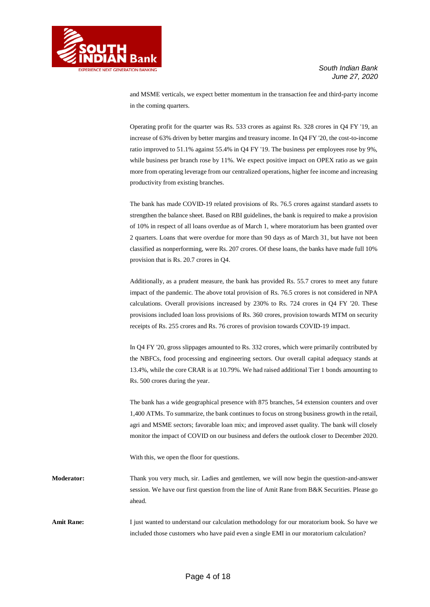

and MSME verticals, we expect better momentum in the transaction fee and third-party income in the coming quarters.

Operating profit for the quarter was Rs. 533 crores as against Rs. 328 crores in Q4 FY '19, an increase of 63% driven by better margins and treasury income. In Q4 FY '20, the cost-to-income ratio improved to 51.1% against 55.4% in Q4 FY '19. The business per employees rose by 9%, while business per branch rose by 11%. We expect positive impact on OPEX ratio as we gain more from operating leverage from our centralized operations, higher fee income and increasing productivity from existing branches.

The bank has made COVID-19 related provisions of Rs. 76.5 crores against standard assets to strengthen the balance sheet. Based on RBI guidelines, the bank is required to make a provision of 10% in respect of all loans overdue as of March 1, where moratorium has been granted over 2 quarters. Loans that were overdue for more than 90 days as of March 31, but have not been classified as nonperforming, were Rs. 207 crores. Of these loans, the banks have made full 10% provision that is Rs. 20.7 crores in Q4.

Additionally, as a prudent measure, the bank has provided Rs. 55.7 crores to meet any future impact of the pandemic. The above total provision of Rs. 76.5 crores is not considered in NPA calculations. Overall provisions increased by 230% to Rs. 724 crores in Q4 FY '20. These provisions included loan loss provisions of Rs. 360 crores, provision towards MTM on security receipts of Rs. 255 crores and Rs. 76 crores of provision towards COVID-19 impact.

In Q4 FY '20, gross slippages amounted to Rs. 332 crores, which were primarily contributed by the NBFCs, food processing and engineering sectors. Our overall capital adequacy stands at 13.4%, while the core CRAR is at 10.79%. We had raised additional Tier 1 bonds amounting to Rs. 500 crores during the year.

The bank has a wide geographical presence with 875 branches, 54 extension counters and over 1,400 ATMs. To summarize, the bank continues to focus on strong business growth in the retail, agri and MSME sectors; favorable loan mix; and improved asset quality. The bank will closely monitor the impact of COVID on our business and defers the outlook closer to December 2020.

With this, we open the floor for questions.

**Moderator:** Thank you very much, sir. Ladies and gentlemen, we will now begin the question-and-answer session. We have our first question from the line of Amit Rane from B&K Securities. Please go ahead.

Amit Rane: I just wanted to understand our calculation methodology for our moratorium book. So have we included those customers who have paid even a single EMI in our moratorium calculation?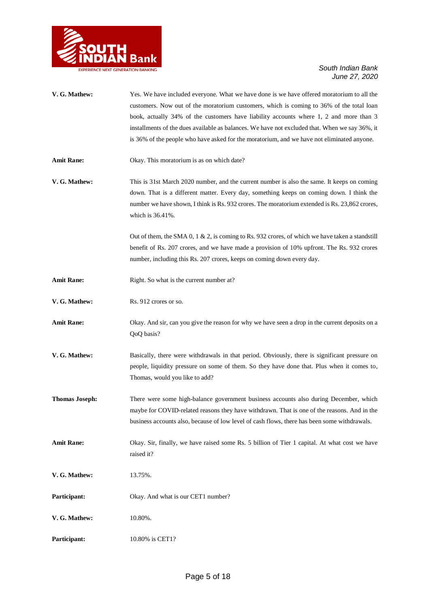

| V. G. Mathew:         | Yes. We have included everyone. What we have done is we have offered moratorium to all the<br>customers. Now out of the moratorium customers, which is coming to 36% of the total loan<br>book, actually 34% of the customers have liability accounts where 1, 2 and more than 3<br>installments of the dues available as balances. We have not excluded that. When we say 36%, it<br>is 36% of the people who have asked for the moratorium, and we have not eliminated anyone. |
|-----------------------|----------------------------------------------------------------------------------------------------------------------------------------------------------------------------------------------------------------------------------------------------------------------------------------------------------------------------------------------------------------------------------------------------------------------------------------------------------------------------------|
| <b>Amit Rane:</b>     | Okay. This moratorium is as on which date?                                                                                                                                                                                                                                                                                                                                                                                                                                       |
| V. G. Mathew:         | This is 31st March 2020 number, and the current number is also the same. It keeps on coming<br>down. That is a different matter. Every day, something keeps on coming down. I think the<br>number we have shown, I think is Rs. 932 crores. The moratorium extended is Rs. 23,862 crores,<br>which is 36.41%.                                                                                                                                                                    |
|                       | Out of them, the SMA 0, 1 & 2, is coming to Rs. 932 crores, of which we have taken a stands till<br>benefit of Rs. 207 crores, and we have made a provision of 10% upfront. The Rs. 932 crores<br>number, including this Rs. 207 crores, keeps on coming down every day.                                                                                                                                                                                                         |
| <b>Amit Rane:</b>     | Right. So what is the current number at?                                                                                                                                                                                                                                                                                                                                                                                                                                         |
| V. G. Mathew:         | Rs. 912 crores or so.                                                                                                                                                                                                                                                                                                                                                                                                                                                            |
| <b>Amit Rane:</b>     | Okay. And sir, can you give the reason for why we have seen a drop in the current deposits on a<br>QoQ basis?                                                                                                                                                                                                                                                                                                                                                                    |
| V. G. Mathew:         | Basically, there were withdrawals in that period. Obviously, there is significant pressure on<br>people, liquidity pressure on some of them. So they have done that. Plus when it comes to,<br>Thomas, would you like to add?                                                                                                                                                                                                                                                    |
| <b>Thomas Joseph:</b> | There were some high-balance government business accounts also during December, which<br>maybe for COVID-related reasons they have withdrawn. That is one of the reasons. And in the<br>business accounts also, because of low level of cash flows, there has been some withdrawals.                                                                                                                                                                                             |
| <b>Amit Rane:</b>     | Okay. Sir, finally, we have raised some Rs. 5 billion of Tier 1 capital. At what cost we have<br>raised it?                                                                                                                                                                                                                                                                                                                                                                      |
| V. G. Mathew:         | 13.75%.                                                                                                                                                                                                                                                                                                                                                                                                                                                                          |
| Participant:          | Okay. And what is our CET1 number?                                                                                                                                                                                                                                                                                                                                                                                                                                               |
| V. G. Mathew:         | 10.80%.                                                                                                                                                                                                                                                                                                                                                                                                                                                                          |
| Participant:          | 10.80% is CET1?                                                                                                                                                                                                                                                                                                                                                                                                                                                                  |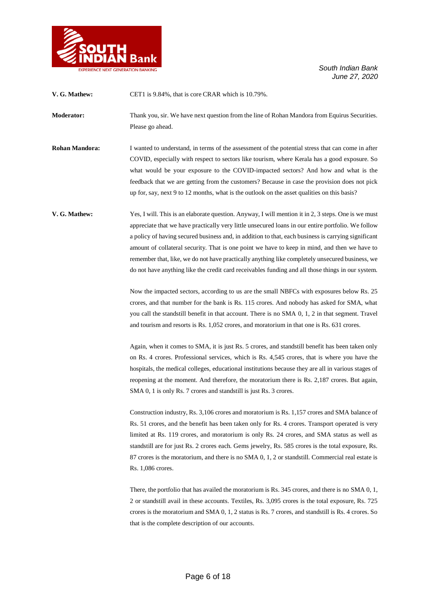

| V. G. Mathew:         | CET1 is 9.84%, that is core CRAR which is 10.79%.                                                                                                                                                                                                                                                                                                                                                                                                                                                                                                                                                                                                                                                                                                                                                                                                                                                                                                                                                                                                                                                                                                                                                                                                                                                                                  |
|-----------------------|------------------------------------------------------------------------------------------------------------------------------------------------------------------------------------------------------------------------------------------------------------------------------------------------------------------------------------------------------------------------------------------------------------------------------------------------------------------------------------------------------------------------------------------------------------------------------------------------------------------------------------------------------------------------------------------------------------------------------------------------------------------------------------------------------------------------------------------------------------------------------------------------------------------------------------------------------------------------------------------------------------------------------------------------------------------------------------------------------------------------------------------------------------------------------------------------------------------------------------------------------------------------------------------------------------------------------------|
| <b>Moderator:</b>     | Thank you, sir. We have next question from the line of Rohan Mandora from Equirus Securities.<br>Please go ahead.                                                                                                                                                                                                                                                                                                                                                                                                                                                                                                                                                                                                                                                                                                                                                                                                                                                                                                                                                                                                                                                                                                                                                                                                                  |
| <b>Rohan Mandora:</b> | I wanted to understand, in terms of the assessment of the potential stress that can come in after<br>COVID, especially with respect to sectors like tourism, where Kerala has a good exposure. So<br>what would be your exposure to the COVID-impacted sectors? And how and what is the<br>feedback that we are getting from the customers? Because in case the provision does not pick<br>up for, say, next 9 to 12 months, what is the outlook on the asset qualities on this basis?                                                                                                                                                                                                                                                                                                                                                                                                                                                                                                                                                                                                                                                                                                                                                                                                                                             |
| V. G. Mathew:         | Yes, I will. This is an elaborate question. Anyway, I will mention it in 2, 3 steps. One is we must<br>appreciate that we have practically very little unsecured loans in our entire portfolio. We follow<br>a policy of having secured business and, in addition to that, each business is carrying significant<br>amount of collateral security. That is one point we have to keep in mind, and then we have to<br>remember that, like, we do not have practically anything like completely unsecured business, we<br>do not have anything like the credit card receivables funding and all those things in our system.<br>Now the impacted sectors, according to us are the small NBFCs with exposures below Rs. 25<br>crores, and that number for the bank is Rs. 115 crores. And nobody has asked for SMA, what<br>you call the standstill benefit in that account. There is no SMA 0, 1, 2 in that segment. Travel<br>and tourism and resorts is Rs. 1,052 crores, and moratorium in that one is Rs. 631 crores.<br>Again, when it comes to SMA, it is just Rs. 5 crores, and standstill benefit has been taken only<br>on Rs. 4 crores. Professional services, which is Rs. 4,545 crores, that is where you have the<br>hospitals, the medical colleges, educational institutions because they are all in various stages of |
|                       | reopening at the moment. And therefore, the moratorium there is Rs. 2,187 crores. But again,<br>SMA 0, 1 is only Rs. 7 crores and standstill is just Rs. 3 crores.<br>Construction industry, Rs. 3,106 crores and moratorium is Rs. 1,157 crores and SMA balance of<br>Rs. 51 crores, and the benefit has been taken only for Rs. 4 crores. Transport operated is very<br>limited at Rs. 119 crores, and moratorium is only Rs. 24 crores, and SMA status as well as<br>standstill are for just Rs. 2 crores each. Gems jewelry, Rs. 585 crores is the total exposure, Rs.<br>87 crores is the moratorium, and there is no SMA 0, 1, 2 or stands till. Commercial real estate is<br>Rs. 1,086 crores.<br>There, the portfolio that has availed the moratorium is Rs. 345 crores, and there is no SMA 0, 1,<br>2 or standstill avail in these accounts. Textiles, Rs. 3,095 crores is the total exposure, Rs. 725<br>crores is the moratorium and SMA $0, 1, 2$ status is Rs. 7 crores, and stands till is Rs. 4 crores. So<br>that is the complete description of our accounts.                                                                                                                                                                                                                                                    |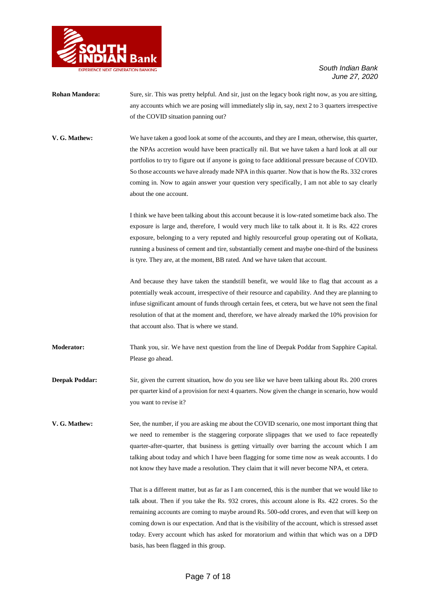

- **Rohan Mandora:** Sure, sir. This was pretty helpful. And sir, just on the legacy book right now, as you are sitting, any accounts which we are posing will immediately slip in, say, next 2 to 3 quarters irrespective of the COVID situation panning out?
- **V. G. Mathew:** We have taken a good look at some of the accounts, and they are I mean, otherwise, this quarter, the NPAs accretion would have been practically nil. But we have taken a hard look at all our portfolios to try to figure out if anyone is going to face additional pressure because of COVID. So those accounts we have already made NPA in this quarter. Now that is how the Rs. 332 crores coming in. Now to again answer your question very specifically, I am not able to say clearly about the one account.

I think we have been talking about this account because it is low-rated sometime back also. The exposure is large and, therefore, I would very much like to talk about it. It is Rs. 422 crores exposure, belonging to a very reputed and highly resourceful group operating out of Kolkata, running a business of cement and tire, substantially cement and maybe one-third of the business is tyre. They are, at the moment, BB rated. And we have taken that account.

And because they have taken the standstill benefit, we would like to flag that account as a potentially weak account, irrespective of their resource and capability. And they are planning to infuse significant amount of funds through certain fees, et cetera, but we have not seen the final resolution of that at the moment and, therefore, we have already marked the 10% provision for that account also. That is where we stand.

**Moderator:** Thank you, sir. We have next question from the line of Deepak Poddar from Sapphire Capital. Please go ahead.

**Deepak Poddar:** Sir, given the current situation, how do you see like we have been talking about Rs. 200 crores per quarter kind of a provision for next 4 quarters. Now given the change in scenario, how would you want to revise it?

**V. G. Mathew:** See, the number, if you are asking me about the COVID scenario, one most important thing that we need to remember is the staggering corporate slippages that we used to face repeatedly quarter-after-quarter, that business is getting virtually over barring the account which I am talking about today and which I have been flagging for some time now as weak accounts. I do not know they have made a resolution. They claim that it will never become NPA, et cetera.

> That is a different matter, but as far as I am concerned, this is the number that we would like to talk about. Then if you take the Rs. 932 crores, this account alone is Rs. 422 crores. So the remaining accounts are coming to maybe around Rs. 500-odd crores, and even that will keep on coming down is our expectation. And that is the visibility of the account, which is stressed asset today. Every account which has asked for moratorium and within that which was on a DPD basis, has been flagged in this group.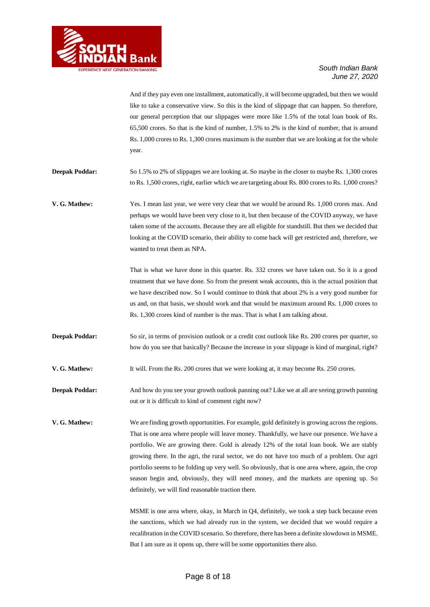

And if they pay even one installment, automatically, it will become upgraded, but then we would like to take a conservative view. So this is the kind of slippage that can happen. So therefore, our general perception that our slippages were more like 1.5% of the total loan book of Rs. 65,500 crores. So that is the kind of number, 1.5% to 2% is the kind of number, that is around Rs. 1,000 crores to Rs. 1,300 crores maximum is the number that we are looking at for the whole year.

**Deepak Poddar:** So 1.5% to 2% of slippages we are looking at. So maybe in the closer to maybe Rs. 1,300 crores to Rs. 1,500 crores, right, earlier which we are targeting about Rs. 800 crores to Rs. 1,000 crores?

**V. G. Mathew:** Yes. I mean last year, we were very clear that we would be around Rs. 1,000 crores max. And perhaps we would have been very close to it, but then because of the COVID anyway, we have taken some of the accounts. Because they are all eligible for standstill. But then we decided that looking at the COVID scenario, their ability to come back will get restricted and, therefore, we wanted to treat them as NPA.

> That is what we have done in this quarter. Rs. 332 crores we have taken out. So it is a good treatment that we have done. So from the present weak accounts, this is the actual position that we have described now. So I would continue to think that about 2% is a very good number for us and, on that basis, we should work and that would be maximum around Rs. 1,000 crores to Rs. 1,300 crores kind of number is the max. That is what I am talking about.

**Deepak Poddar:** So sir, in terms of provision outlook or a credit cost outlook like Rs. 200 crores per quarter, so how do you see that basically? Because the increase in your slippage is kind of marginal, right?

**V. G. Mathew:** It will. From the Rs. 200 crores that we were looking at, it may become Rs. 250 crores.

**Deepak Poddar:** And how do you see your growth outlook panning out? Like we at all are seeing growth panning out or it is difficult to kind of comment right now?

**V. G. Mathew:** We are finding growth opportunities. For example, gold definitely is growing across the regions. That is one area where people will leave money. Thankfully, we have our presence. We have a portfolio. We are growing there. Gold is already 12% of the total loan book. We are stably growing there. In the agri, the rural sector, we do not have too much of a problem. Our agri portfolio seems to be folding up very well. So obviously, that is one area where, again, the crop season begin and, obviously, they will need money, and the markets are opening up. So definitely, we will find reasonable traction there.

> MSME is one area where, okay, in March in Q4, definitely, we took a step back because even the sanctions, which we had already run in the system, we decided that we would require a recalibration in the COVID scenario. So therefore, there has been a definite slowdown in MSME. But I am sure as it opens up, there will be some opportunities there also.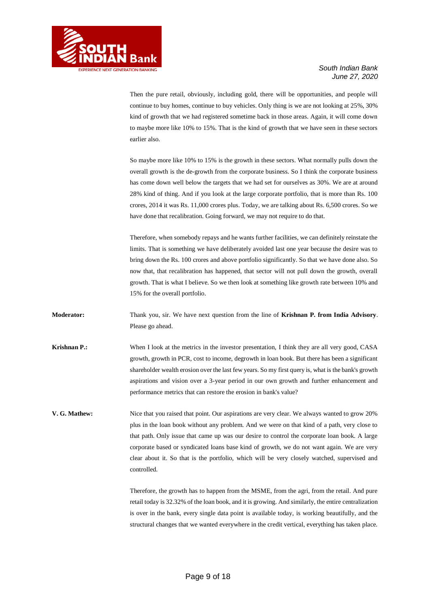

Then the pure retail, obviously, including gold, there will be opportunities, and people will continue to buy homes, continue to buy vehicles. Only thing is we are not looking at 25%, 30% kind of growth that we had registered sometime back in those areas. Again, it will come down to maybe more like 10% to 15%. That is the kind of growth that we have seen in these sectors earlier also.

So maybe more like 10% to 15% is the growth in these sectors. What normally pulls down the overall growth is the de-growth from the corporate business. So I think the corporate business has come down well below the targets that we had set for ourselves as 30%. We are at around 28% kind of thing. And if you look at the large corporate portfolio, that is more than Rs. 100 crores, 2014 it was Rs. 11,000 crores plus. Today, we are talking about Rs. 6,500 crores. So we have done that recalibration. Going forward, we may not require to do that.

Therefore, when somebody repays and he wants further facilities, we can definitely reinstate the limits. That is something we have deliberately avoided last one year because the desire was to bring down the Rs. 100 crores and above portfolio significantly. So that we have done also. So now that, that recalibration has happened, that sector will not pull down the growth, overall growth. That is what I believe. So we then look at something like growth rate between 10% and 15% for the overall portfolio.

**Moderator:** Thank you, sir. We have next question from the line of **Krishnan P. from India Advisory**. Please go ahead.

- **Krishnan P.:** When I look at the metrics in the investor presentation, I think they are all very good, CASA growth, growth in PCR, cost to income, degrowth in loan book. But there has been a significant shareholder wealth erosion over the last few years. So my first query is, what is the bank's growth aspirations and vision over a 3-year period in our own growth and further enhancement and performance metrics that can restore the erosion in bank's value?
- **V. G. Mathew:** Nice that you raised that point. Our aspirations are very clear. We always wanted to grow 20% plus in the loan book without any problem. And we were on that kind of a path, very close to that path. Only issue that came up was our desire to control the corporate loan book. A large corporate based or syndicated loans base kind of growth, we do not want again. We are very clear about it. So that is the portfolio, which will be very closely watched, supervised and controlled.

Therefore, the growth has to happen from the MSME, from the agri, from the retail. And pure retail today is 32.32% of the loan book, and it is growing. And similarly, the entire centralization is over in the bank, every single data point is available today, is working beautifully, and the structural changes that we wanted everywhere in the credit vertical, everything has taken place.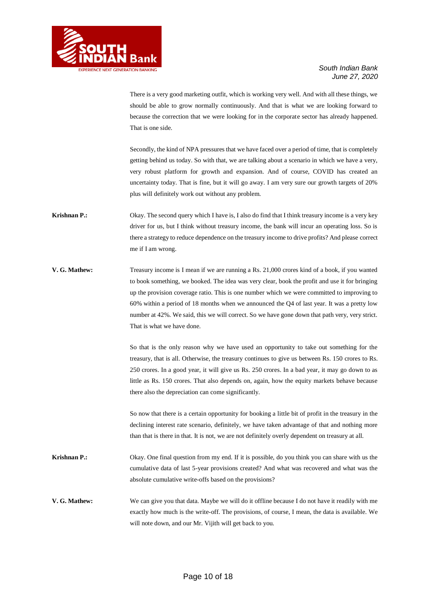

There is a very good marketing outfit, which is working very well. And with all these things, we should be able to grow normally continuously. And that is what we are looking forward to because the correction that we were looking for in the corporate sector has already happened. That is one side.

Secondly, the kind of NPA pressures that we have faced over a period of time, that is completely getting behind us today. So with that, we are talking about a scenario in which we have a very, very robust platform for growth and expansion. And of course, COVID has created an uncertainty today. That is fine, but it will go away. I am very sure our growth targets of 20% plus will definitely work out without any problem.

- **Krishnan P.:** Okay. The second query which I have is, I also do find that I think treasury income is a very key driver for us, but I think without treasury income, the bank will incur an operating loss. So is there a strategy to reduce dependence on the treasury income to drive profits? And please correct me if I am wrong.
- **V. G. Mathew:** Treasury income is I mean if we are running a Rs. 21,000 crores kind of a book, if you wanted to book something, we booked. The idea was very clear, book the profit and use it for bringing up the provision coverage ratio. This is one number which we were committed to improving to 60% within a period of 18 months when we announced the Q4 of last year. It was a pretty low number at 42%. We said, this we will correct. So we have gone down that path very, very strict. That is what we have done.

So that is the only reason why we have used an opportunity to take out something for the treasury, that is all. Otherwise, the treasury continues to give us between Rs. 150 crores to Rs. 250 crores. In a good year, it will give us Rs. 250 crores. In a bad year, it may go down to as little as Rs. 150 crores. That also depends on, again, how the equity markets behave because there also the depreciation can come significantly.

So now that there is a certain opportunity for booking a little bit of profit in the treasury in the declining interest rate scenario, definitely, we have taken advantage of that and nothing more than that is there in that. It is not, we are not definitely overly dependent on treasury at all.

- **Krishnan P.:** Okay. One final question from my end. If it is possible, do you think you can share with us the cumulative data of last 5-year provisions created? And what was recovered and what was the absolute cumulative write-offs based on the provisions?
- **V. G. Mathew:** We can give you that data. Maybe we will do it offline because I do not have it readily with me exactly how much is the write-off. The provisions, of course, I mean, the data is available. We will note down, and our Mr. Vijith will get back to you.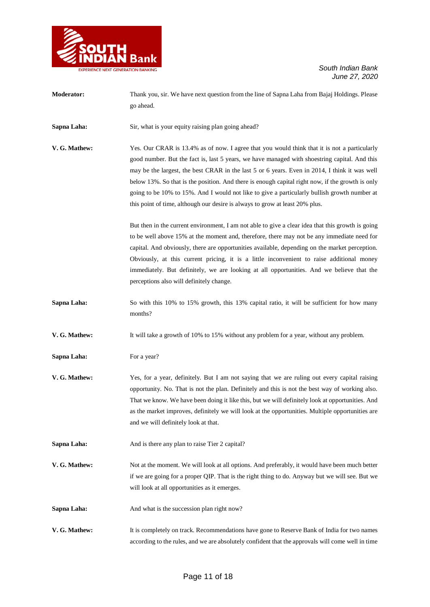

| <b>Moderator:</b> | Thank you, sir. We have next question from the line of Sapna Laha from Bajaj Holdings. Please<br>go ahead.                                                                                                                                                                                                                                                                                                                                                                                                                                                                         |
|-------------------|------------------------------------------------------------------------------------------------------------------------------------------------------------------------------------------------------------------------------------------------------------------------------------------------------------------------------------------------------------------------------------------------------------------------------------------------------------------------------------------------------------------------------------------------------------------------------------|
| Sapna Laha:       | Sir, what is your equity raising plan going ahead?                                                                                                                                                                                                                                                                                                                                                                                                                                                                                                                                 |
| V. G. Mathew:     | Yes. Our CRAR is 13.4% as of now. I agree that you would think that it is not a particularly<br>good number. But the fact is, last 5 years, we have managed with shoestring capital. And this<br>may be the largest, the best CRAR in the last 5 or 6 years. Even in 2014, I think it was well<br>below 13%. So that is the position. And there is enough capital right now, if the growth is only<br>going to be 10% to 15%. And I would not like to give a particularly bullish growth number at<br>this point of time, although our desire is always to grow at least 20% plus. |
|                   | But then in the current environment, I am not able to give a clear idea that this growth is going<br>to be well above 15% at the moment and, therefore, there may not be any immediate need for<br>capital. And obviously, there are opportunities available, depending on the market perception.<br>Obviously, at this current pricing, it is a little inconvenient to raise additional money<br>immediately. But definitely, we are looking at all opportunities. And we believe that the<br>perceptions also will definitely change.                                            |
| Sapna Laha:       | So with this 10% to 15% growth, this 13% capital ratio, it will be sufficient for how many<br>months?                                                                                                                                                                                                                                                                                                                                                                                                                                                                              |
| V. G. Mathew:     | It will take a growth of 10% to 15% without any problem for a year, without any problem.                                                                                                                                                                                                                                                                                                                                                                                                                                                                                           |
| Sapna Laha:       | For a year?                                                                                                                                                                                                                                                                                                                                                                                                                                                                                                                                                                        |
| V. G. Mathew:     | Yes, for a year, definitely. But I am not saying that we are ruling out every capital raising<br>opportunity. No. That is not the plan. Definitely and this is not the best way of working also.<br>That we know. We have been doing it like this, but we will definitely look at opportunities. And<br>as the market improves, definitely we will look at the opportunities. Multiple opportunities are<br>and we will definitely look at that.                                                                                                                                   |
| Sapna Laha:       | And is there any plan to raise Tier 2 capital?                                                                                                                                                                                                                                                                                                                                                                                                                                                                                                                                     |
| V. G. Mathew:     | Not at the moment. We will look at all options. And preferably, it would have been much better<br>if we are going for a proper QIP. That is the right thing to do. Anyway but we will see. But we<br>will look at all opportunities as it emerges.                                                                                                                                                                                                                                                                                                                                 |
| Sapna Laha:       | And what is the succession plan right now?                                                                                                                                                                                                                                                                                                                                                                                                                                                                                                                                         |
| V. G. Mathew:     | It is completely on track. Recommendations have gone to Reserve Bank of India for two names<br>according to the rules, and we are absolutely confident that the approvals will come well in time                                                                                                                                                                                                                                                                                                                                                                                   |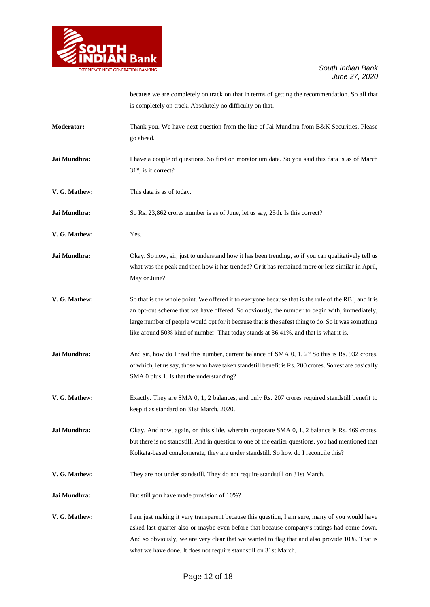

because we are completely on track on that in terms of getting the recommendation. So all that is completely on track. Absolutely no difficulty on that.

| <b>Moderator:</b> | Thank you. We have next question from the line of Jai Mundhra from B&K Securities. Please<br>go ahead.                                                                                                                                                                                                                                                                                              |
|-------------------|-----------------------------------------------------------------------------------------------------------------------------------------------------------------------------------------------------------------------------------------------------------------------------------------------------------------------------------------------------------------------------------------------------|
| Jai Mundhra:      | I have a couple of questions. So first on moratorium data. So you said this data is as of March<br>31 <sup>st</sup> , is it correct?                                                                                                                                                                                                                                                                |
| V. G. Mathew:     | This data is as of today.                                                                                                                                                                                                                                                                                                                                                                           |
| Jai Mundhra:      | So Rs. 23,862 crores number is as of June, let us say, 25th. Is this correct?                                                                                                                                                                                                                                                                                                                       |
| V. G. Mathew:     | Yes.                                                                                                                                                                                                                                                                                                                                                                                                |
| Jai Mundhra:      | Okay. So now, sir, just to understand how it has been trending, so if you can qualitatively tell us<br>what was the peak and then how it has trended? Or it has remained more or less similar in April,<br>May or June?                                                                                                                                                                             |
| V. G. Mathew:     | So that is the whole point. We offered it to everyone because that is the rule of the RBI, and it is<br>an opt-out scheme that we have offered. So obviously, the number to begin with, immediately,<br>large number of people would opt for it because that is the safest thing to do. So it was something<br>like around 50% kind of number. That today stands at 36.41%, and that is what it is. |
| Jai Mundhra:      | And sir, how do I read this number, current balance of SMA 0, 1, 2? So this is Rs. 932 crores,<br>of which, let us say, those who have taken standstill benefit is Rs. 200 crores. So rest are basically<br>SMA 0 plus 1. Is that the understanding?                                                                                                                                                |
| V. G. Mathew:     | Exactly. They are SMA 0, 1, 2 balances, and only Rs. 207 crores required standstill benefit to<br>keep it as standard on 31st March, 2020.                                                                                                                                                                                                                                                          |
| Jai Mundhra:      | Okay. And now, again, on this slide, wherein corporate SMA 0, 1, 2 balance is Rs. 469 crores,<br>but there is no standstill. And in question to one of the earlier questions, you had mentioned that<br>Kolkata-based conglomerate, they are under standstill. So how do I reconcile this?                                                                                                          |
| V. G. Mathew:     | They are not under standstill. They do not require standstill on 31st March.                                                                                                                                                                                                                                                                                                                        |
| Jai Mundhra:      | But still you have made provision of 10%?                                                                                                                                                                                                                                                                                                                                                           |
| V. G. Mathew:     | I am just making it very transparent because this question, I am sure, many of you would have<br>asked last quarter also or maybe even before that because company's ratings had come down.<br>And so obviously, we are very clear that we wanted to flag that and also provide 10%. That is<br>what we have done. It does not require standstill on 31st March.                                    |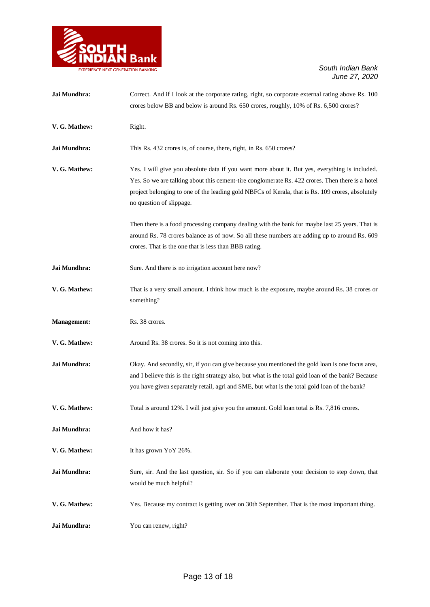

| Jai Mundhra:       | Correct. And if I look at the corporate rating, right, so corporate external rating above Rs. 100                                                                                                                                                                                                                                  |
|--------------------|------------------------------------------------------------------------------------------------------------------------------------------------------------------------------------------------------------------------------------------------------------------------------------------------------------------------------------|
|                    | crores below BB and below is around Rs. 650 crores, roughly, 10% of Rs. 6,500 crores?                                                                                                                                                                                                                                              |
| V. G. Mathew:      | Right.                                                                                                                                                                                                                                                                                                                             |
| Jai Mundhra:       | This Rs. 432 crores is, of course, there, right, in Rs. 650 crores?                                                                                                                                                                                                                                                                |
| V. G. Mathew:      | Yes. I will give you absolute data if you want more about it. But yes, everything is included.<br>Yes. So we are talking about this cement-tire conglomerate Rs. 422 crores. Then there is a hotel<br>project belonging to one of the leading gold NBFCs of Kerala, that is Rs. 109 crores, absolutely<br>no question of slippage. |
|                    | Then there is a food processing company dealing with the bank for maybe last 25 years. That is<br>around Rs. 78 crores balance as of now. So all these numbers are adding up to around Rs. 609<br>crores. That is the one that is less than BBB rating.                                                                            |
| Jai Mundhra:       | Sure. And there is no irrigation account here now?                                                                                                                                                                                                                                                                                 |
| V. G. Mathew:      | That is a very small amount. I think how much is the exposure, maybe around Rs. 38 crores or<br>something?                                                                                                                                                                                                                         |
| <b>Management:</b> | Rs. 38 crores.                                                                                                                                                                                                                                                                                                                     |
| V. G. Mathew:      | Around Rs. 38 crores. So it is not coming into this.                                                                                                                                                                                                                                                                               |
| Jai Mundhra:       | Okay. And secondly, sir, if you can give because you mentioned the gold loan is one focus area,<br>and I believe this is the right strategy also, but what is the total gold loan of the bank? Because<br>you have given separately retail, agri and SME, but what is the total gold loan of the bank?                             |
| V. G. Mathew:      | Total is around 12%. I will just give you the amount. Gold loan total is Rs. 7,816 crores.                                                                                                                                                                                                                                         |
| Jai Mundhra:       | And how it has?                                                                                                                                                                                                                                                                                                                    |
| V. G. Mathew:      | It has grown YoY 26%.                                                                                                                                                                                                                                                                                                              |
| Jai Mundhra:       | Sure, sir. And the last question, sir. So if you can elaborate your decision to step down, that<br>would be much helpful?                                                                                                                                                                                                          |
| V. G. Mathew:      | Yes. Because my contract is getting over on 30th September. That is the most important thing.                                                                                                                                                                                                                                      |
| Jai Mundhra:       | You can renew, right?                                                                                                                                                                                                                                                                                                              |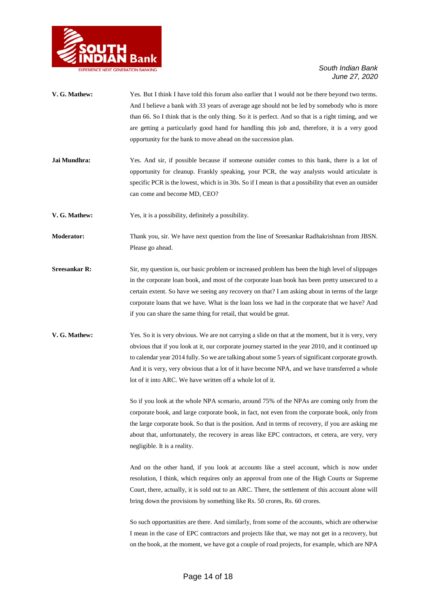

- **V. G. Mathew:** Yes. But I think I have told this forum also earlier that I would not be there beyond two terms. And I believe a bank with 33 years of average age should not be led by somebody who is more than 66. So I think that is the only thing. So it is perfect. And so that is a right timing, and we are getting a particularly good hand for handling this job and, therefore, it is a very good opportunity for the bank to move ahead on the succession plan.
- **Jai Mundhra:** Yes. And sir, if possible because if someone outsider comes to this bank, there is a lot of opportunity for cleanup. Frankly speaking, your PCR, the way analysts would articulate is specific PCR is the lowest, which is in 30s. So if I mean is that a possibility that even an outsider can come and become MD, CEO?
- **V. G. Mathew:** Yes, it is a possibility, definitely a possibility.
- **Moderator:** Thank you, sir. We have next question from the line of Sreesankar Radhakrishnan from JBSN. Please go ahead.
- **Sreesankar R:** Sir, my question is, our basic problem or increased problem has been the high level of slippages in the corporate loan book, and most of the corporate loan book has been pretty unsecured to a certain extent. So have we seeing any recovery on that? I am asking about in terms of the large corporate loans that we have. What is the loan loss we had in the corporate that we have? And if you can share the same thing for retail, that would be great.
- **V. G. Mathew:** Yes. So it is very obvious. We are not carrying a slide on that at the moment, but it is very, very obvious that if you look at it, our corporate journey started in the year 2010, and it continued up to calendar year 2014 fully. So we are talking about some 5 years of significant corporate growth. And it is very, very obvious that a lot of it have become NPA, and we have transferred a whole lot of it into ARC. We have written off a whole lot of it.

So if you look at the whole NPA scenario, around 75% of the NPAs are coming only from the corporate book, and large corporate book, in fact, not even from the corporate book, only from the large corporate book. So that is the position. And in terms of recovery, if you are asking me about that, unfortunately, the recovery in areas like EPC contractors, et cetera, are very, very negligible. It is a reality.

And on the other hand, if you look at accounts like a steel account, which is now under resolution, I think, which requires only an approval from one of the High Courts or Supreme Court, there, actually, it is sold out to an ARC. There, the settlement of this account alone will bring down the provisions by something like Rs. 50 crores, Rs. 60 crores.

So such opportunities are there. And similarly, from some of the accounts, which are otherwise I mean in the case of EPC contractors and projects like that, we may not get in a recovery, but on the book, at the moment, we have got a couple of road projects, for example, which are NPA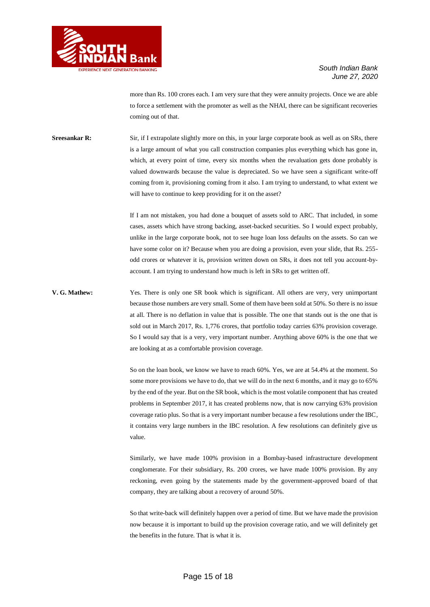

more than Rs. 100 crores each. I am very sure that they were annuity projects. Once we are able to force a settlement with the promoter as well as the NHAI, there can be significant recoveries coming out of that.

**Sreesankar R:** Sir, if I extrapolate slightly more on this, in your large corporate book as well as on SRs, there is a large amount of what you call construction companies plus everything which has gone in, which, at every point of time, every six months when the revaluation gets done probably is valued downwards because the value is depreciated. So we have seen a significant write-off coming from it, provisioning coming from it also. I am trying to understand, to what extent we will have to continue to keep providing for it on the asset?

> If I am not mistaken, you had done a bouquet of assets sold to ARC. That included, in some cases, assets which have strong backing, asset-backed securities. So I would expect probably, unlike in the large corporate book, not to see huge loan loss defaults on the assets. So can we have some color on it? Because when you are doing a provision, even your slide, that Rs. 255 odd crores or whatever it is, provision written down on SRs, it does not tell you account-byaccount. I am trying to understand how much is left in SRs to get written off.

**V. G. Mathew:** Yes. There is only one SR book which is significant. All others are very, very unimportant because those numbers are very small. Some of them have been sold at 50%. So there is no issue at all. There is no deflation in value that is possible. The one that stands out is the one that is sold out in March 2017, Rs. 1,776 crores, that portfolio today carries 63% provision coverage. So I would say that is a very, very important number. Anything above 60% is the one that we are looking at as a comfortable provision coverage.

> So on the loan book, we know we have to reach 60%. Yes, we are at 54.4% at the moment. So some more provisions we have to do, that we will do in the next 6 months, and it may go to 65% by the end of the year. But on the SR book, which is the most volatile component that has created problems in September 2017, it has created problems now, that is now carrying 63% provision coverage ratio plus. So that is a very important number because a few resolutions under the IBC, it contains very large numbers in the IBC resolution. A few resolutions can definitely give us value.

> Similarly, we have made 100% provision in a Bombay-based infrastructure development conglomerate. For their subsidiary, Rs. 200 crores, we have made 100% provision. By any reckoning, even going by the statements made by the government-approved board of that company, they are talking about a recovery of around 50%.

> So that write-back will definitely happen over a period of time. But we have made the provision now because it is important to build up the provision coverage ratio, and we will definitely get the benefits in the future. That is what it is.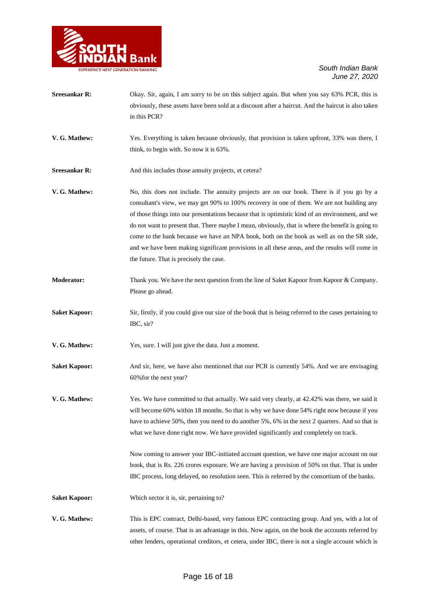

- **Sreesankar R:** Okay. Sir, again, I am sorry to be on this subject again. But when you say 63% PCR, this is obviously, these assets have been sold at a discount after a haircut. And the haircut is also taken in this PCR? **V. G. Mathew:** Yes. Everything is taken because obviously, that provision is taken upfront, 33% was there, I think, to begin with. So now it is 63%. **Sreesankar R:** And this includes those annuity projects, et cetera? **V. G. Mathew:** No, this does not include. The annuity projects are on our book. There is if you go by a consultant's view, we may get 90% to 100% recovery in one of them. We are not building any of those things into our presentations because that is optimistic kind of an environment, and we do not want to present that. There maybe I mean, obviously, that is where the benefit is going to
	- come to the bank because we have an NPA book, both on the book as well as on the SR side, and we have been making significant provisions in all these areas, and the results will come in the future. That is precisely the case.
- **Moderator:** Thank you. We have the next question from the line of Saket Kapoor from Kapoor & Company. Please go ahead.
- **Saket Kapoor:** Sir, firstly, if you could give our size of the book that is being referred to the cases pertaining to IBC, sir?
- **V. G. Mathew:** Yes, sure. I will just give the data. Just a moment.
- **Saket Kapoor:** And sir, here, we have also mentioned that our PCR is currently 54%. And we are envisaging 60%for the next year?
- **V. G. Mathew:** Yes. We have committed to that actually. We said very clearly, at 42.42% was there, we said it will become 60% within 18 months. So that is why we have done 54% right now because if you have to achieve 50%, then you need to do another 5%, 6% in the next 2 quarters. And so that is what we have done right now. We have provided significantly and completely on track.

Now coming to answer your IBC-initiated account question, we have one major account on our book, that is Rs. 226 crores exposure. We are having a provision of 50% on that. That is under IBC process, long delayed, no resolution seen. This is referred by the consortium of the banks.

- **Saket Kapoor:** Which sector it is, sir, pertaining to?
- **V. G. Mathew:** This is EPC contract, Delhi-based, very famous EPC contracting group. And yes, with a lot of assets, of course. That is an advantage in this. Now again, on the book the accounts referred by other lenders, operational creditors, et cetera, under IBC, there is not a single account which is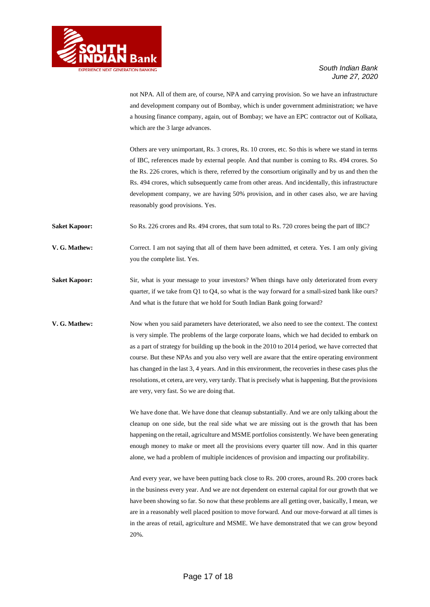

not NPA. All of them are, of course, NPA and carrying provision. So we have an infrastructure and development company out of Bombay, which is under government administration; we have a housing finance company, again, out of Bombay; we have an EPC contractor out of Kolkata, which are the 3 large advances.

Others are very unimportant, Rs. 3 crores, Rs. 10 crores, etc. So this is where we stand in terms of IBC, references made by external people. And that number is coming to Rs. 494 crores. So the Rs. 226 crores, which is there, referred by the consortium originally and by us and then the Rs. 494 crores, which subsequently came from other areas. And incidentally, this infrastructure development company, we are having 50% provision, and in other cases also, we are having reasonably good provisions. Yes.

**Saket Kapoor:** So Rs. 226 crores and Rs. 494 crores, that sum total to Rs. 720 crores being the part of IBC?

**V. G. Mathew:** Correct. I am not saying that all of them have been admitted, et cetera. Yes. I am only giving you the complete list. Yes.

Saket Kapoor: Sir, what is your message to your investors? When things have only deteriorated from every quarter, if we take from Q1 to Q4, so what is the way forward for a small-sized bank like ours? And what is the future that we hold for South Indian Bank going forward?

**V. G. Mathew:** Now when you said parameters have deteriorated, we also need to see the context. The context is very simple. The problems of the large corporate loans, which we had decided to embark on as a part of strategy for building up the book in the 2010 to 2014 period, we have corrected that course. But these NPAs and you also very well are aware that the entire operating environment has changed in the last 3, 4 years. And in this environment, the recoveries in these cases plus the resolutions, et cetera, are very, very tardy. That is precisely what is happening. But the provisions are very, very fast. So we are doing that.

> We have done that. We have done that cleanup substantially. And we are only talking about the cleanup on one side, but the real side what we are missing out is the growth that has been happening on the retail, agriculture and MSME portfolios consistently. We have been generating enough money to make or meet all the provisions every quarter till now. And in this quarter alone, we had a problem of multiple incidences of provision and impacting our profitability.

> And every year, we have been putting back close to Rs. 200 crores, around Rs. 200 crores back in the business every year. And we are not dependent on external capital for our growth that we have been showing so far. So now that these problems are all getting over, basically, I mean, we are in a reasonably well placed position to move forward. And our move-forward at all times is in the areas of retail, agriculture and MSME. We have demonstrated that we can grow beyond 20%.